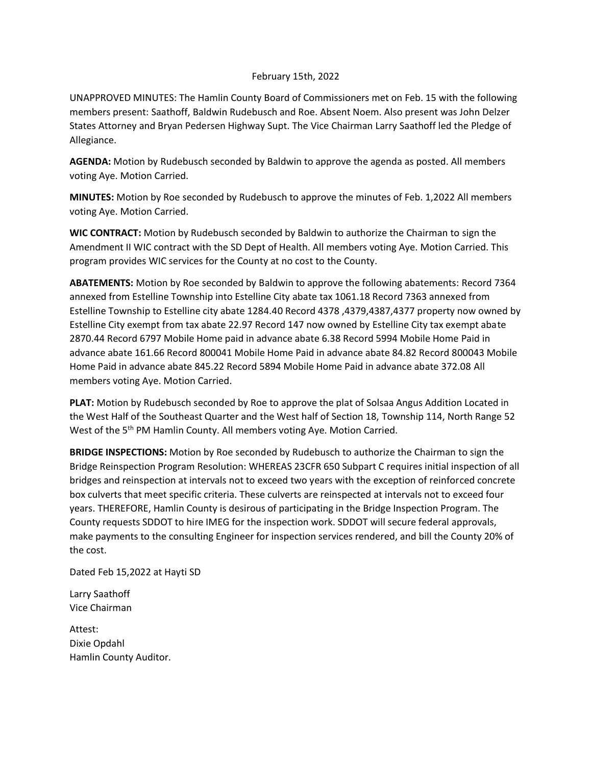## February 15th, 2022

UNAPPROVED MINUTES: The Hamlin County Board of Commissioners met on Feb. 15 with the following members present: Saathoff, Baldwin Rudebusch and Roe. Absent Noem. Also present was John Delzer States Attorney and Bryan Pedersen Highway Supt. The Vice Chairman Larry Saathoff led the Pledge of Allegiance.

**AGENDA:** Motion by Rudebusch seconded by Baldwin to approve the agenda as posted. All members voting Aye. Motion Carried.

**MINUTES:** Motion by Roe seconded by Rudebusch to approve the minutes of Feb. 1,2022 All members voting Aye. Motion Carried.

**WIC CONTRACT:** Motion by Rudebusch seconded by Baldwin to authorize the Chairman to sign the Amendment II WIC contract with the SD Dept of Health. All members voting Aye. Motion Carried. This program provides WIC services for the County at no cost to the County.

**ABATEMENTS:** Motion by Roe seconded by Baldwin to approve the following abatements: Record 7364 annexed from Estelline Township into Estelline City abate tax 1061.18 Record 7363 annexed from Estelline Township to Estelline city abate 1284.40 Record 4378 ,4379,4387,4377 property now owned by Estelline City exempt from tax abate 22.97 Record 147 now owned by Estelline City tax exempt abate 2870.44 Record 6797 Mobile Home paid in advance abate 6.38 Record 5994 Mobile Home Paid in advance abate 161.66 Record 800041 Mobile Home Paid in advance abate 84.82 Record 800043 Mobile Home Paid in advance abate 845.22 Record 5894 Mobile Home Paid in advance abate 372.08 All members voting Aye. Motion Carried.

**PLAT:** Motion by Rudebusch seconded by Roe to approve the plat of Solsaa Angus Addition Located in the West Half of the Southeast Quarter and the West half of Section 18, Township 114, North Range 52 West of the 5<sup>th</sup> PM Hamlin County. All members voting Aye. Motion Carried.

**BRIDGE INSPECTIONS:** Motion by Roe seconded by Rudebusch to authorize the Chairman to sign the Bridge Reinspection Program Resolution: WHEREAS 23CFR 650 Subpart C requires initial inspection of all bridges and reinspection at intervals not to exceed two years with the exception of reinforced concrete box culverts that meet specific criteria. These culverts are reinspected at intervals not to exceed four years. THEREFORE, Hamlin County is desirous of participating in the Bridge Inspection Program. The County requests SDDOT to hire IMEG for the inspection work. SDDOT will secure federal approvals, make payments to the consulting Engineer for inspection services rendered, and bill the County 20% of the cost.

Dated Feb 15,2022 at Hayti SD

Larry Saathoff Vice Chairman

Attest: Dixie Opdahl Hamlin County Auditor.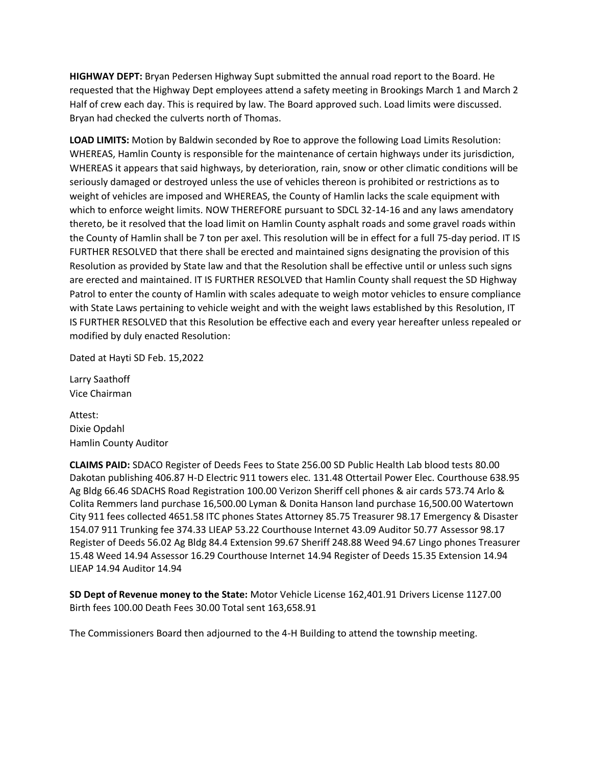**HIGHWAY DEPT:** Bryan Pedersen Highway Supt submitted the annual road report to the Board. He requested that the Highway Dept employees attend a safety meeting in Brookings March 1 and March 2 Half of crew each day. This is required by law. The Board approved such. Load limits were discussed. Bryan had checked the culverts north of Thomas.

**LOAD LIMITS:** Motion by Baldwin seconded by Roe to approve the following Load Limits Resolution: WHEREAS, Hamlin County is responsible for the maintenance of certain highways under its jurisdiction, WHEREAS it appears that said highways, by deterioration, rain, snow or other climatic conditions will be seriously damaged or destroyed unless the use of vehicles thereon is prohibited or restrictions as to weight of vehicles are imposed and WHEREAS, the County of Hamlin lacks the scale equipment with which to enforce weight limits. NOW THEREFORE pursuant to SDCL 32-14-16 and any laws amendatory thereto, be it resolved that the load limit on Hamlin County asphalt roads and some gravel roads within the County of Hamlin shall be 7 ton per axel. This resolution will be in effect for a full 75-day period. IT IS FURTHER RESOLVED that there shall be erected and maintained signs designating the provision of this Resolution as provided by State law and that the Resolution shall be effective until or unless such signs are erected and maintained. IT IS FURTHER RESOLVED that Hamlin County shall request the SD Highway Patrol to enter the county of Hamlin with scales adequate to weigh motor vehicles to ensure compliance with State Laws pertaining to vehicle weight and with the weight laws established by this Resolution, IT IS FURTHER RESOLVED that this Resolution be effective each and every year hereafter unless repealed or modified by duly enacted Resolution:

Dated at Hayti SD Feb. 15,2022

Larry Saathoff Vice Chairman

Attest: Dixie Opdahl Hamlin County Auditor

**CLAIMS PAID:** SDACO Register of Deeds Fees to State 256.00 SD Public Health Lab blood tests 80.00 Dakotan publishing 406.87 H-D Electric 911 towers elec. 131.48 Ottertail Power Elec. Courthouse 638.95 Ag Bldg 66.46 SDACHS Road Registration 100.00 Verizon Sheriff cell phones & air cards 573.74 Arlo & Colita Remmers land purchase 16,500.00 Lyman & Donita Hanson land purchase 16,500.00 Watertown City 911 fees collected 4651.58 ITC phones States Attorney 85.75 Treasurer 98.17 Emergency & Disaster 154.07 911 Trunking fee 374.33 LIEAP 53.22 Courthouse Internet 43.09 Auditor 50.77 Assessor 98.17 Register of Deeds 56.02 Ag Bldg 84.4 Extension 99.67 Sheriff 248.88 Weed 94.67 Lingo phones Treasurer 15.48 Weed 14.94 Assessor 16.29 Courthouse Internet 14.94 Register of Deeds 15.35 Extension 14.94 LIEAP 14.94 Auditor 14.94

**SD Dept of Revenue money to the State:** Motor Vehicle License 162,401.91 Drivers License 1127.00 Birth fees 100.00 Death Fees 30.00 Total sent 163,658.91

The Commissioners Board then adjourned to the 4-H Building to attend the township meeting.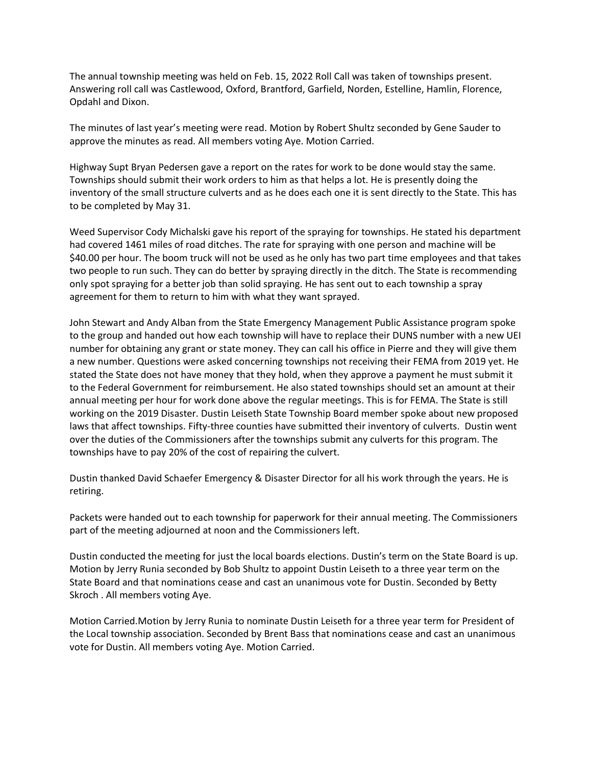The annual township meeting was held on Feb. 15, 2022 Roll Call was taken of townships present. Answering roll call was Castlewood, Oxford, Brantford, Garfield, Norden, Estelline, Hamlin, Florence, Opdahl and Dixon.

The minutes of last year's meeting were read. Motion by Robert Shultz seconded by Gene Sauder to approve the minutes as read. All members voting Aye. Motion Carried.

Highway Supt Bryan Pedersen gave a report on the rates for work to be done would stay the same. Townships should submit their work orders to him as that helps a lot. He is presently doing the inventory of the small structure culverts and as he does each one it is sent directly to the State. This has to be completed by May 31.

Weed Supervisor Cody Michalski gave his report of the spraying for townships. He stated his department had covered 1461 miles of road ditches. The rate for spraying with one person and machine will be \$40.00 per hour. The boom truck will not be used as he only has two part time employees and that takes two people to run such. They can do better by spraying directly in the ditch. The State is recommending only spot spraying for a better job than solid spraying. He has sent out to each township a spray agreement for them to return to him with what they want sprayed.

John Stewart and Andy Alban from the State Emergency Management Public Assistance program spoke to the group and handed out how each township will have to replace their DUNS number with a new UEI number for obtaining any grant or state money. They can call his office in Pierre and they will give them a new number. Questions were asked concerning townships not receiving their FEMA from 2019 yet. He stated the State does not have money that they hold, when they approve a payment he must submit it to the Federal Government for reimbursement. He also stated townships should set an amount at their annual meeting per hour for work done above the regular meetings. This is for FEMA. The State is still working on the 2019 Disaster. Dustin Leiseth State Township Board member spoke about new proposed laws that affect townships. Fifty-three counties have submitted their inventory of culverts. Dustin went over the duties of the Commissioners after the townships submit any culverts for this program. The townships have to pay 20% of the cost of repairing the culvert.

Dustin thanked David Schaefer Emergency & Disaster Director for all his work through the years. He is retiring.

Packets were handed out to each township for paperwork for their annual meeting. The Commissioners part of the meeting adjourned at noon and the Commissioners left.

Dustin conducted the meeting for just the local boards elections. Dustin's term on the State Board is up. Motion by Jerry Runia seconded by Bob Shultz to appoint Dustin Leiseth to a three year term on the State Board and that nominations cease and cast an unanimous vote for Dustin. Seconded by Betty Skroch . All members voting Aye.

Motion Carried.Motion by Jerry Runia to nominate Dustin Leiseth for a three year term for President of the Local township association. Seconded by Brent Bass that nominations cease and cast an unanimous vote for Dustin. All members voting Aye. Motion Carried.